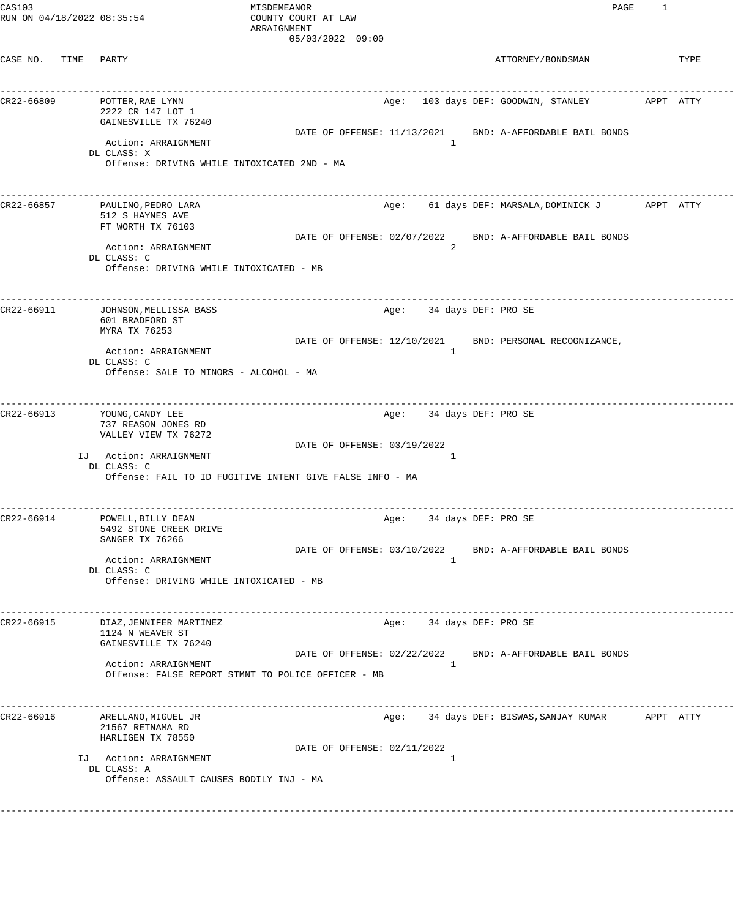| CAS103<br>RUN ON 04/18/2022 08:35:54 |                                                                                                   | MISDEMEANOR<br>COUNTY COURT AT LAW<br>ARRAIGNMENT        |                             | PAGE                                                     | 1 |      |
|--------------------------------------|---------------------------------------------------------------------------------------------------|----------------------------------------------------------|-----------------------------|----------------------------------------------------------|---|------|
| CASE NO. TIME                        | PARTY                                                                                             | 05/03/2022 09:00                                         |                             | ATTORNEY/BONDSMAN                                        |   | TYPE |
| CR22-66809                           | POTTER, RAE LYNN<br>2222 CR 147 LOT 1<br>GAINESVILLE TX 76240                                     |                                                          |                             |                                                          |   |      |
|                                      | Action: ARRAIGNMENT<br>DL CLASS: X<br>Offense: DRIVING WHILE INTOXICATED 2ND - MA                 | DATE OF OFFENSE: 11/13/2021                              | 1                           | BND: A-AFFORDABLE BAIL BONDS                             |   |      |
| CR22-66857                           | PAULINO, PEDRO LARA<br>512 S HAYNES AVE<br>FT WORTH TX 76103                                      |                                                          |                             | Age: 61 days DEF: MARSALA, DOMINICK J          APPT ATTY |   |      |
|                                      | Action: ARRAIGNMENT<br>DL CLASS: C<br>Offense: DRIVING WHILE INTOXICATED - MB                     | DATE OF OFFENSE: 02/07/2022                              | 2                           | BND: A-AFFORDABLE BAIL BONDS                             |   |      |
| CR22-66911                           | JOHNSON, MELLISSA BASS<br>601 BRADFORD ST<br>MYRA TX 76253                                        |                                                          | Age: 34 days DEF: PRO SE    |                                                          |   |      |
|                                      | Action: ARRAIGNMENT<br>DL CLASS: C<br>Offense: SALE TO MINORS - ALCOHOL - MA                      | DATE OF OFFENSE: 12/10/2021                              | $\mathbf{1}$                | BND: PERSONAL RECOGNIZANCE,                              |   |      |
| CR22-66913                           | YOUNG, CANDY LEE<br>737 REASON JONES RD<br>VALLEY VIEW TX 76272                                   | DATE OF OFFENSE: 03/19/2022                              | Age: 34 days DEF: PRO SE    | ----------------------                                   |   |      |
|                                      | IJ Action: ARRAIGNMENT<br>DL CLASS: C                                                             | Offense: FAIL TO ID FUGITIVE INTENT GIVE FALSE INFO - MA | -1                          |                                                          |   |      |
| CR22-66914                           | ------------------------------<br>POWELL, BILLY DEAN<br>5492 STONE CREEK DRIVE<br>SANGER TX 76266 |                                                          | Age:<br>34 days DEF: PRO SE |                                                          |   |      |
|                                      | Action: ARRAIGNMENT<br>DL CLASS: C<br>Offense: DRIVING WHILE INTOXICATED - MB                     | DATE OF OFFENSE: 03/10/2022                              | $\mathbf{1}$                | BND: A-AFFORDABLE BAIL BONDS                             |   |      |
| CR22-66915                           | DIAZ, JENNIFER MARTINEZ<br>1124 N WEAVER ST<br>GAINESVILLE TX 76240                               |                                                          | Age: 34 days DEF: PRO SE    |                                                          |   |      |
|                                      | Action: ARRAIGNMENT<br>Offense: FALSE REPORT STMNT TO POLICE OFFICER - MB                         | DATE OF OFFENSE: 02/22/2022                              | 1                           | BND: A-AFFORDABLE BAIL BONDS                             |   |      |
| CR22-66916                           | ARELLANO, MIGUEL JR<br>21567 RETNAMA RD<br>HARLIGEN TX 78550                                      |                                                          |                             | Age: 34 days DEF: BISWAS, SANJAY KUMAR      APPT ATTY    |   |      |
|                                      | IJ Action: ARRAIGNMENT<br>DL CLASS: A<br>Offense: ASSAULT CAUSES BODILY INJ - MA                  | DATE OF OFFENSE: 02/11/2022                              | 1                           |                                                          |   |      |
|                                      |                                                                                                   |                                                          |                             |                                                          |   |      |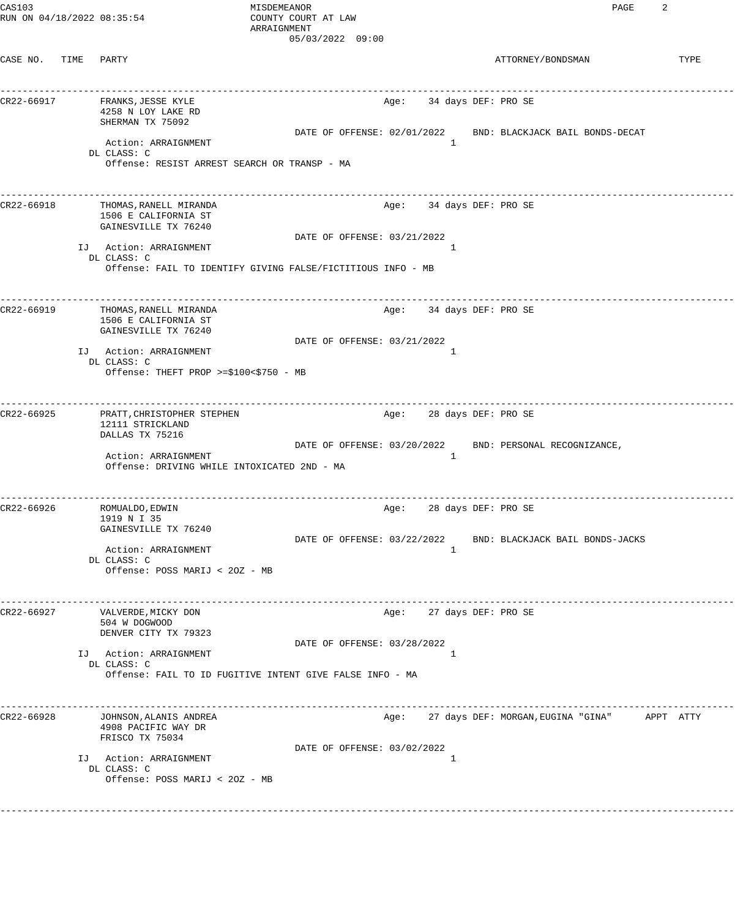| CAS103<br>RUN ON 04/18/2022 08:35:54 |      |                                                                                    | MISDEMEANOR<br>COUNTY COURT AT LAW<br>ARRAIGNMENT<br>05/03/2022 09:00                           | 2<br>PAGE                                                   |
|--------------------------------------|------|------------------------------------------------------------------------------------|-------------------------------------------------------------------------------------------------|-------------------------------------------------------------|
| CASE NO.                             | TIME | PARTY                                                                              |                                                                                                 | ATTORNEY/BONDSMAN<br>TYPE                                   |
| CR22-66917                           |      | FRANKS, JESSE KYLE<br>4258 N LOY LAKE RD<br>SHERMAN TX 75092                       | Age:                                                                                            | 34 days DEF: PRO SE                                         |
|                                      |      | Action: ARRAIGNMENT<br>DL CLASS: C<br>Offense: RESIST ARREST SEARCH OR TRANSP - MA | DATE OF OFFENSE: 02/01/2022<br>1                                                                | BND: BLACKJACK BAIL BONDS-DECAT                             |
| CR22-66918                           |      | THOMAS, RANELL MIRANDA<br>1506 E CALIFORNIA ST<br>GAINESVILLE TX 76240             | Age:                                                                                            | -------------------------<br>34 days DEF: PRO SE            |
|                                      |      | IJ Action: ARRAIGNMENT<br>DL CLASS: C                                              | DATE OF OFFENSE: 03/21/2022<br>1<br>Offense: FAIL TO IDENTIFY GIVING FALSE/FICTITIOUS INFO - MB |                                                             |
| CR22-66919                           |      | THOMAS, RANELL MIRANDA<br>1506 E CALIFORNIA ST<br>GAINESVILLE TX 76240             | Age:                                                                                            | 34 days DEF: PRO SE                                         |
|                                      |      | IJ Action: ARRAIGNMENT<br>DL CLASS: C<br>Offense: THEFT PROP >=\$100<\$750 - MB    | DATE OF OFFENSE: 03/21/2022<br>1                                                                |                                                             |
| CR22-66925                           |      | PRATT, CHRISTOPHER STEPHEN<br>12111 STRICKLAND<br>DALLAS TX 75216                  | Age:                                                                                            | 28 days DEF: PRO SE                                         |
|                                      |      | Action: ARRAIGNMENT<br>Offense: DRIVING WHILE INTOXICATED 2ND - MA                 | DATE OF OFFENSE: 03/20/2022<br>1                                                                | BND: PERSONAL RECOGNIZANCE,                                 |
| CR22-66926                           |      | ROMUALDO, EDWIN<br>1919 N I 35<br>GAINESVILLE TX 76240                             | ---------------------------<br>Age:                                                             | __________________________________<br>28 days DEF: PRO SE   |
|                                      |      | Action: ARRAIGNMENT<br>DL CLASS: C<br>Offense: POSS MARIJ < 20Z - MB               | 1                                                                                               | DATE OF OFFENSE: 03/22/2022 BND: BLACKJACK BAIL BONDS-JACKS |
| CR22-66927                           |      | VALVERDE, MICKY DON<br>504 W DOGWOOD<br>DENVER CITY TX 79323                       | _____________________________                                                                   | _______________________<br>Age: 27 days DEF: PRO SE         |
|                                      |      | IJ Action: ARRAIGNMENT<br>DL CLASS: C                                              | DATE OF OFFENSE: 03/28/2022<br>1<br>Offense: FAIL TO ID FUGITIVE INTENT GIVE FALSE INFO - MA    |                                                             |
| CR22-66928                           |      | JOHNSON, ALANIS ANDREA<br>4908 PACIFIC WAY DR<br>FRISCO TX 75034                   | Age:                                                                                            | 27 days DEF: MORGAN, EUGINA "GINA" APPT ATTY                |
|                                      |      | IJ Action: ARRAIGNMENT<br>DL CLASS: C<br>Offense: POSS MARIJ < 20Z - MB            | DATE OF OFFENSE: 03/02/2022<br>1                                                                |                                                             |
|                                      |      |                                                                                    |                                                                                                 |                                                             |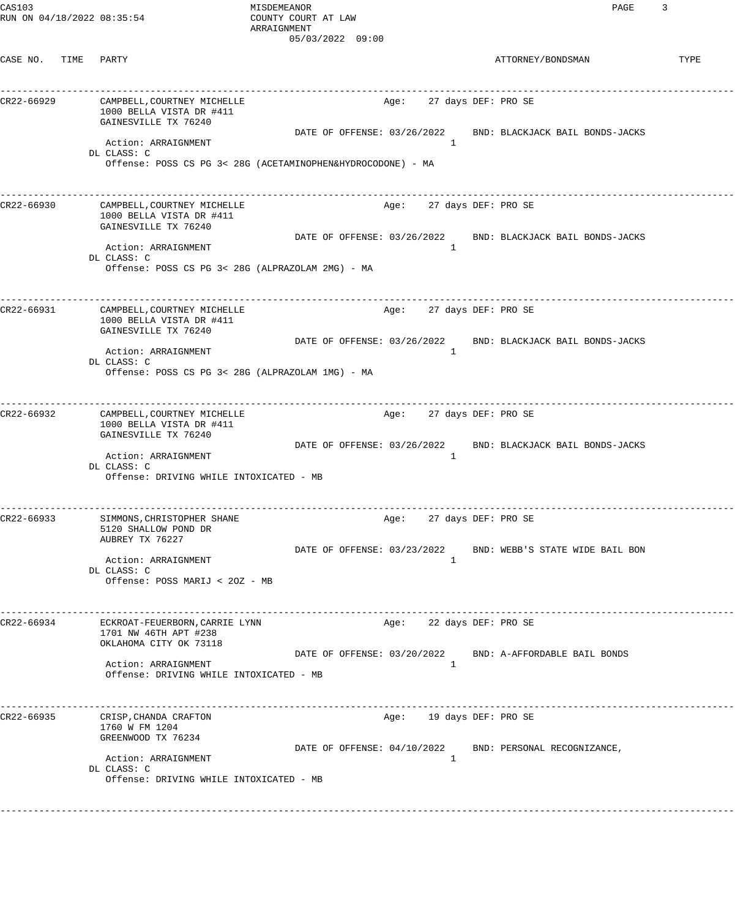| CAS103 |                            |  |
|--------|----------------------------|--|
|        | RUN ON 04/18/2022 08:35:54 |  |

MISDEMEANOR PAGE 3 COUNTY COURT AT LAW ARRAIGNMENT 05/03/2022 09:00

| CASE NO.   | TIME | PARTY                                                                                                                                                                                              |                             |      |                                          | ATTORNEY/BONDSMAN                                                                           | TYPE |
|------------|------|----------------------------------------------------------------------------------------------------------------------------------------------------------------------------------------------------|-----------------------------|------|------------------------------------------|---------------------------------------------------------------------------------------------|------|
| CR22-66929 |      | CAMPBELL, COURTNEY MICHELLE<br>1000 BELLA VISTA DR #411<br>GAINESVILLE TX 76240<br>Action: ARRAIGNMENT<br>DL CLASS: C<br>Offense: POSS CS PG 3< 28G (ACETAMINOPHEN&HYDROCODONE) - MA               | DATE OF OFFENSE: 03/26/2022 | Age: | 27 days DEF: PRO SE<br>$\overline{1}$    | BND: BLACKJACK BAIL BONDS-JACKS                                                             |      |
| CR22-66930 |      | CAMPBELL, COURTNEY MICHELLE<br>1000 BELLA VISTA DR #411<br>GAINESVILLE TX 76240<br>Action: ARRAIGNMENT<br>DL CLASS: C<br>Offense: POSS CS PG 3< 28G (ALPRAZOLAM 2MG) - MA                          |                             | Age: | 27 days DEF: PRO SE<br>1                 | ____________________________<br>DATE OF OFFENSE: 03/26/2022 BND: BLACKJACK BAIL BONDS-JACKS |      |
| CR22-66931 |      | CAMPBELL, COURTNEY MICHELLE<br>1000 BELLA VISTA DR #411<br>GAINESVILLE TX 76240<br>Action: ARRAIGNMENT<br>DL CLASS: C<br>Offense: POSS CS PG 3< 28G (ALPRAZOLAM 1MG) - MA                          | DATE OF OFFENSE: 03/26/2022 | Age: | 27 days DEF: PRO SE<br>1                 | BND: BLACKJACK BAIL BONDS-JACKS                                                             |      |
| CR22-66932 |      | ------------------------------<br>CAMPBELL, COURTNEY MICHELLE<br>1000 BELLA VISTA DR #411<br>GAINESVILLE TX 76240<br>Action: ARRAIGNMENT<br>DL CLASS: C<br>Offense: DRIVING WHILE INTOXICATED - MB |                             | Age: | 27 days DEF: PRO SE<br>1                 | _______________<br>DATE OF OFFENSE: 03/26/2022 BND: BLACKJACK BAIL BONDS-JACKS              |      |
| CR22-66933 |      | SIMMONS, CHRISTOPHER SHANE<br>5120 SHALLOW POND DR<br>AUBREY TX 76227<br>Action: ARRAIGNMENT<br>DL CLASS: C<br>Offense: POSS MARIJ < 20Z - MB                                                      | DATE OF OFFENSE: 03/23/2022 | Age: | 27 days DEF: PRO SE<br>1                 | BND: WEBB'S STATE WIDE BAIL BON                                                             |      |
| CR22-66934 |      | ECKROAT-FEUERBORN, CARRIE LYNN<br>1701 NW 46TH APT #238<br>OKLAHOMA CITY OK 73118<br>Action: ARRAIGNMENT<br>Offense: DRIVING WHILE INTOXICATED - MB                                                |                             | Age: | 22 days DEF: PRO SE<br>$\mathbf{1}$      | DATE OF OFFENSE: 03/20/2022 BND: A-AFFORDABLE BAIL BONDS                                    |      |
| CR22-66935 |      | CRISP, CHANDA CRAFTON<br>1760 W FM 1204<br>GREENWOOD TX 76234<br>Action: ARRAIGNMENT<br>DL CLASS: C<br>Offense: DRIVING WHILE INTOXICATED - MB                                                     |                             |      | Age: 19 days DEF: PRO SE<br><sup>1</sup> | DATE OF OFFENSE: 04/10/2022 BND: PERSONAL RECOGNIZANCE,                                     |      |